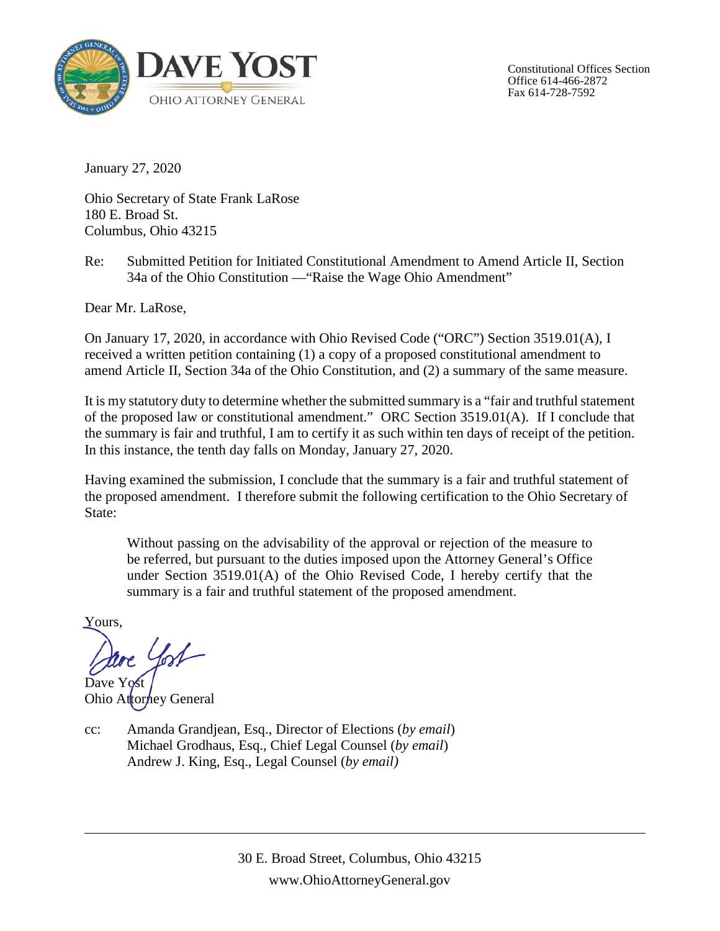

Constitutional Offices Section Office 614-466-2872 Fax 614-728-7592

January 27, 2020

Ohio Secretary of State Frank LaRose 180 E. Broad St. Columbus, Ohio 43215

Re: Submitted Petition for Initiated Constitutional Amendment to Amend Article II, Section 34a of the Ohio Constitution —"Raise the Wage Ohio Amendment"

Dear Mr. LaRose,

On January 17, 2020, in accordance with Ohio Revised Code ("ORC") Section 3519.01(A), I received a written petition containing (1) a copy of a proposed constitutional amendment to amend Article II, Section 34a of the Ohio Constitution, and (2) a summary of the same measure.

It is my statutory duty to determine whether the submitted summary is a "fair and truthful statement of the proposed law or constitutional amendment." ORC Section 3519.01(A). If I conclude that the summary is fair and truthful, I am to certify it as such within ten days of receipt of the petition. In this instance, the tenth day falls on Monday, January 27, 2020.

Having examined the submission, I conclude that the summary is a fair and truthful statement of the proposed amendment. I therefore submit the following certification to the Ohio Secretary of State:

Without passing on the advisability of the approval or rejection of the measure to be referred, but pursuant to the duties imposed upon the Attorney General's Office under Section 3519.01(A) of the Ohio Revised Code, I hereby certify that the summary is a fair and truthful statement of the proposed amendment.

Yours,

re York

Dave Yost Ohio Attorhey General

cc: Amanda Grandjean, Esq., Director of Elections (*by email*) Michael Grodhaus, Esq., Chief Legal Counsel (*by email*) Andrew J. King, Esq., Legal Counsel (*by email)*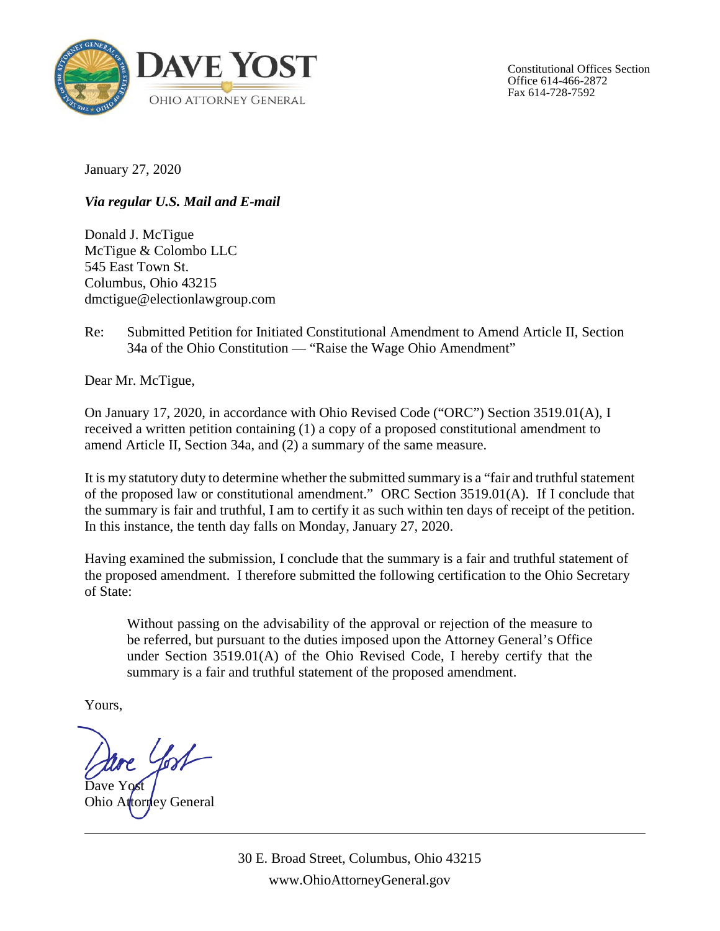

Constitutional Offices Section Office 614-466-2872 Fax 614-728-7592

January 27, 2020

*Via regular U.S. Mail and E-mail*

Donald J. McTigue McTigue & Colombo LLC 545 East Town St. Columbus, Ohio 43215 dmctigue@electionlawgroup.com

Re: Submitted Petition for Initiated Constitutional Amendment to Amend Article II, Section 34a of the Ohio Constitution — "Raise the Wage Ohio Amendment"

Dear Mr. McTigue,

On January 17, 2020, in accordance with Ohio Revised Code ("ORC") Section 3519.01(A), I received a written petition containing (1) a copy of a proposed constitutional amendment to amend Article II, Section 34a, and (2) a summary of the same measure.

It is my statutory duty to determine whether the submitted summary is a "fair and truthful statement of the proposed law or constitutional amendment." ORC Section 3519.01(A). If I conclude that the summary is fair and truthful, I am to certify it as such within ten days of receipt of the petition. In this instance, the tenth day falls on Monday, January 27, 2020.

Having examined the submission, I conclude that the summary is a fair and truthful statement of the proposed amendment. I therefore submitted the following certification to the Ohio Secretary of State:

Without passing on the advisability of the approval or rejection of the measure to be referred, but pursuant to the duties imposed upon the Attorney General's Office under Section 3519.01(A) of the Ohio Revised Code, I hereby certify that the summary is a fair and truthful statement of the proposed amendment.

Yours,

Dave Yost

Ohio Attorney General

30 E. Broad Street, Columbus, Ohio 43215 www.OhioAttorneyGeneral.gov